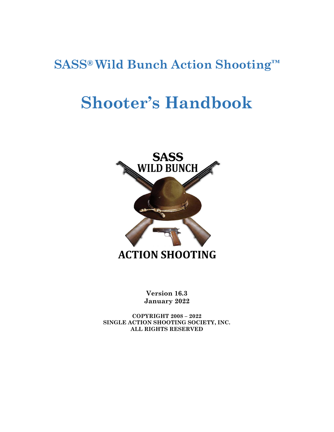## **SASS® Wild Bunch Action Shooting™**

# **Shooter's Handbook**



**Version 16.3 January 2022**

**COPYRIGHT 2008 – 2022 SINGLE ACTION SHOOTING SOCIETY, INC. ALL RIGHTS RESERVED**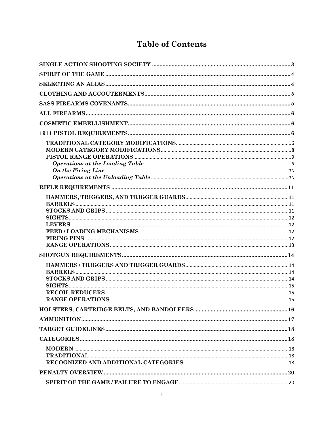## **Table of Contents**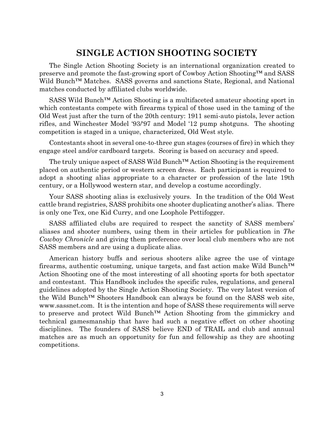#### **SINGLE ACTION SHOOTING SOCIETY**

<span id="page-3-0"></span>The Single Action Shooting Society is an international organization created to preserve and promote the fast-growing sport of Cowboy Action Shooting™ and SASS Wild Bunch<sup>™</sup> Matches. SASS governs and sanctions State, Regional, and National matches conducted by affiliated clubs worldwide.

SASS Wild Bunch™ Action Shooting is a multifaceted amateur shooting sport in which contestants compete with firearms typical of those used in the taming of the Old West just after the turn of the 20th century: 1911 semi-auto pistols, lever action rifles, and Winchester Model '93/'97 and Model '12 pump shotguns. The shooting competition is staged in a unique, characterized, Old West style.

Contestants shoot in several one-to-three gun stages (courses of fire) in which they engage steel and/or cardboard targets. Scoring is based on accuracy and speed.

The truly unique aspect of SASS Wild Bunch™ Action Shooting is the requirement placed on authentic period or western screen dress. Each participant is required to adopt a shooting alias appropriate to a character or profession of the late 19th century, or a Hollywood western star, and develop a costume accordingly.

Your SASS shooting alias is exclusively yours. In the tradition of the Old West cattle brand registries, SASS prohibits one shooter duplicating another's alias. There is only one Tex, one Kid Curry, and one Loophole Pettifogger.

SASS affiliated clubs are required to respect the sanctity of SASS members' aliases and shooter numbers, using them in their articles for publication in *The Cowboy Chronicle* and giving them preference over local club members who are not SASS members and are using a duplicate alias.

American history buffs and serious shooters alike agree the use of vintage firearms, authentic costuming, unique targets, and fast action make Wild Bunch™ Action Shooting one of the most interesting of all shooting sports for both spectator and contestant. This Handbook includes the specific rules, regulations, and general guidelines adopted by the Single Action Shooting Society. The very latest version of the Wild Bunch™ Shooters Handbook can always be found on the SASS web site, www.sassnet.com. It is the intention and hope of SASS these requirements will serve to preserve and protect Wild Bunch™ Action Shooting from the gimmickry and technical gamesmanship that have had such a negative effect on other shooting disciplines. The founders of SASS believe END of TRAIL and club and annual matches are as much an opportunity for fun and fellowship as they are shooting competitions.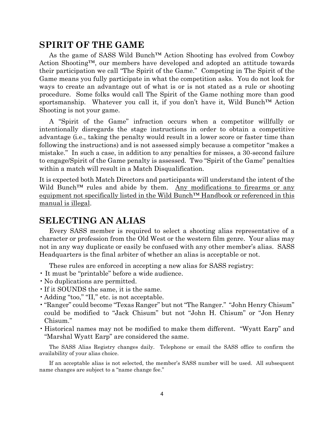## <span id="page-4-0"></span>**SPIRIT OF THE GAME**

As the game of SASS Wild Bunch™ Action Shooting has evolved from Cowboy Action Shooting™, our members have developed and adopted an attitude towards their participation we call "The Spirit of the Game." Competing in The Spirit of the Game means you fully participate in what the competition asks. You do not look for ways to create an advantage out of what is or is not stated as a rule or shooting procedure. Some folks would call The Spirit of the Game nothing more than good sportsmanship. Whatever you call it, if you don't have it, Wild Bunch™ Action Shooting is not your game.

A "Spirit of the Game" infraction occurs when a competitor willfully or intentionally disregards the stage instructions in order to obtain a competitive advantage (i.e., taking the penalty would result in a lower score or faster time than following the instructions) and is not assessed simply because a competitor "makes a mistake." In such a case, in addition to any penalties for misses, a 30-second failure to engage/Spirit of the Game penalty is assessed. Two "Spirit of the Game" penalties within a match will result in a Match Disqualification.

It is expected both Match Directors and participants will understand the intent of the Wild Bunch<sup>™</sup> rules and abide by them. Any modifications to firearms or any equipment not specifically listed in the Wild Bunch™ Handbook or referenced in this manual is illegal.

#### <span id="page-4-1"></span>**SELECTING AN ALIAS**

Every SASS member is required to select a shooting alias representative of a character or profession from the Old West or the western film genre. Your alias may not in any way duplicate or easily be confused with any other member's alias. SASS Headquarters is the final arbiter of whether an alias is acceptable or not.

These rules are enforced in accepting a new alias for SASS registry:

- It must be "printable" before a wide audience.
- No duplications are permitted.
- •If it SOUNDS the same, it is the same.
- •Adding "too," "II," etc. is not acceptable.
- •"Ranger" could become "Texas Ranger" but not "The Ranger." "John Henry Chisum" could be modified to "Jack Chisum" but not "John H. Chisum" or "Jon Henry Chisum."
- Historical names may not be modified to make them different. "Wyatt Earp" and "Marshal Wyatt Earp" are considered the same.

The SASS Alias Registry changes daily. Telephone or email the SASS office to confirm the availability of your alias choice.

If an acceptable alias is not selected, the member's SASS number will be used. All subsequent name changes are subject to a "name change fee."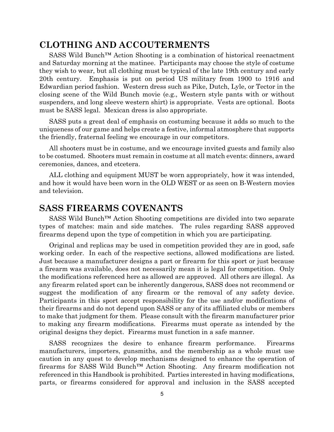#### <span id="page-5-0"></span>**CLOTHING AND ACCOUTERMENTS**

SASS Wild Bunch™ Action Shooting is a combination of historical reenactment and Saturday morning at the matinee. Participants may choose the style of costume they wish to wear, but all clothing must be typical of the late 19th century and early 20th century. Emphasis is put on period US military from 1900 to 1916 and Edwardian period fashion. Western dress such as Pike, Dutch, Lyle, or Tector in the closing scene of the Wild Bunch movie (e.g., Western style pants with or without suspenders, and long sleeve western shirt) is appropriate. Vests are optional. Boots must be SASS legal. Mexican dress is also appropriate.

SASS puts a great deal of emphasis on costuming because it adds so much to the uniqueness of our game and helps create a festive, informal atmosphere that supports the friendly, fraternal feeling we encourage in our competitors.

All shooters must be in costume, and we encourage invited guests and family also to be costumed. Shooters must remain in costume at all match events: dinners, award ceremonies, dances, and etcetera.

ALL clothing and equipment MUST be worn appropriately, how it was intended, and how it would have been worn in the OLD WEST or as seen on B-Western movies and television.

#### <span id="page-5-1"></span>**SASS FIREARMS COVENANTS**

SASS Wild Bunch™ Action Shooting competitions are divided into two separate types of matches: main and side matches. The rules regarding SASS approved firearms depend upon the type of competition in which you are participating.

Original and replicas may be used in competition provided they are in good, safe working order. In each of the respective sections, allowed modifications are listed. Just because a manufacturer designs a part or firearm for this sport or just because a firearm was available, does not necessarily mean it is legal for competition. Only the modifications referenced here as allowed are approved. All others are illegal. As any firearm related sport can be inherently dangerous, SASS does not recommend or suggest the modification of any firearm or the removal of any safety device. Participants in this sport accept responsibility for the use and/or modifications of their firearms and do not depend upon SASS or any of its affiliated clubs or members to make that judgment for them. Please consult with the firearm manufacturer prior to making any firearm modifications. Firearms must operate as intended by the original designs they depict. Firearms must function in a safe manner.

SASS recognizes the desire to enhance firearm performance. Firearms manufacturers, importers, gunsmiths, and the membership as a whole must use caution in any quest to develop mechanisms designed to enhance the operation of firearms for SASS Wild Bunch™ Action Shooting. Any firearm modification not referenced in this Handbook is prohibited. Parties interested in having modifications, parts, or firearms considered for approval and inclusion in the SASS accepted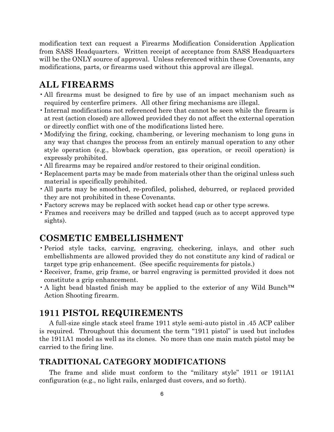modification text can request a Firearms Modification Consideration Application from SASS Headquarters. Written receipt of acceptance from SASS Headquarters will be the ONLY source of approval. Unless referenced within these Covenants, any modifications, parts, or firearms used without this approval are illegal.

#### <span id="page-6-0"></span>**ALL FIREARMS**

- •All firearms must be designed to fire by use of an impact mechanism such as required by centerfire primers. All other firing mechanisms are illegal.
- •Internal modifications not referenced here that cannot be seen while the firearm is at rest (action closed) are allowed provided they do not affect the external operation or directly conflict with one of the modifications listed here.
- •Modifying the firing, cocking, chambering, or levering mechanism to long guns in any way that changes the process from an entirely manual operation to any other style operation (e.g., blowback operation, gas operation, or recoil operation) is expressly prohibited.
- •All firearms may be repaired and/or restored to their original condition.
- •Replacement parts may be made from materials other than the original unless such material is specifically prohibited.
- •All parts may be smoothed, re-profiled, polished, deburred, or replaced provided they are not prohibited in these Covenants.
- •Factory screws may be replaced with socket head cap or other type screws.
- Frames and receivers may be drilled and tapped (such as to accept approved type sights).

#### <span id="page-6-1"></span>**COSMETIC EMBELLISHMENT**

- •Period style tacks, carving, engraving, checkering, inlays, and other such embellishments are allowed provided they do not constitute any kind of radical or target type grip enhancement. (See specific requirements for pistols.)
- •Receiver, frame, grip frame, or barrel engraving is permitted provided it does not constitute a grip enhancement.
- A light bead blasted finish may be applied to the exterior of any Wild Bunch™ Action Shooting firearm.

#### <span id="page-6-2"></span>**1911 PISTOL REQUIREMENTS**

A full-size single stack steel frame 1911 style semi-auto pistol in .45 ACP caliber is required. Throughout this document the term "1911 pistol" is used but includes the 1911A1 model as well as its clones. No more than one main match pistol may be carried to the firing line.

#### <span id="page-6-3"></span>**TRADITIONAL CATEGORY MODIFICATIONS**

The frame and slide must conform to the "military style" 1911 or 1911A1 configuration (e.g., no light rails, enlarged dust covers, and so forth).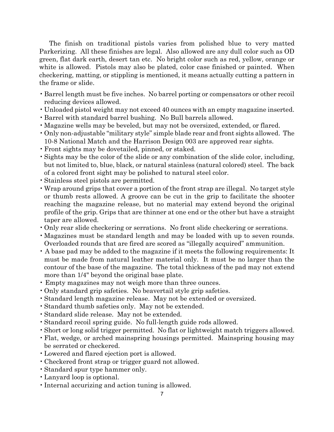The finish on traditional pistols varies from polished blue to very matted Parkerizing. All these finishes are legal. Also allowed are any dull color such as OD green, flat dark earth, desert tan etc. No bright color such as red, yellow, orange or white is allowed. Pistols may also be plated, color case finished or painted. When checkering, matting, or stippling is mentioned, it means actually cutting a pattern in the frame or slide.

- •Barrel length must be five inches. No barrel porting or compensators or other recoil reducing devices allowed.
- Unloaded pistol weight may not exceed 40 ounces with an empty magazine inserted.
- •Barrel with standard barrel bushing. No Bull barrels allowed.
- •Magazine wells may be beveled, but may not be oversized, extended, or flared.
- •Only non-adjustable "military style" simple blade rear and front sights allowed. The 10-8 National Match and the Harrison Design 003 are approved rear sights.
- •Front sights may be dovetailed, pinned, or staked.
- •Sights may be the color of the slide or any combination of the slide color, including, but not limited to, blue, black, or natural stainless (natural colored) steel. The back of a colored front sight may be polished to natural steel color.
- •Stainless steel pistols are permitted.
- •Wrap around grips that cover a portion of the front strap are illegal. No target style or thumb rests allowed. A groove can be cut in the grip to facilitate the shooter reaching the magazine release, but no material may extend beyond the original profile of the grip. Grips that are thinner at one end or the other but have a straight taper are allowed.
- •Only rear slide checkering or serrations. No front slide checkering or serrations.
- •Magazines must be standard length and may be loaded with up to seven rounds. Overloaded rounds that are fired are scored as "illegally acquired" ammunition.
- A base pad may be added to the magazine if it meets the following requirements: It must be made from natural leather material only. It must be no larger than the contour of the base of the magazine. The total thickness of the pad may not extend more than 1/4" beyond the original base plate.
- Empty magazines may not weigh more than three ounces.
- •Only standard grip safeties. No beavertail style grip safeties.
- •Standard length magazine release. May not be extended or oversized.
- •Standard thumb safeties only. May not be extended.
- •Standard slide release. May not be extended.
- •Standard recoil spring guide. No full-length guide rods allowed.
- •Short or long solid trigger permitted. No flat or lightweight match triggers allowed.
- •Flat, wedge, or arched mainspring housings permitted. Mainspring housing may be serrated or checkered.
- •Lowered and flared ejection port is allowed.
- •Checkered front strap or trigger guard not allowed.
- •Standard spur type hammer only.
- •Lanyard loop is optional.
- •Internal accurizing and action tuning is allowed.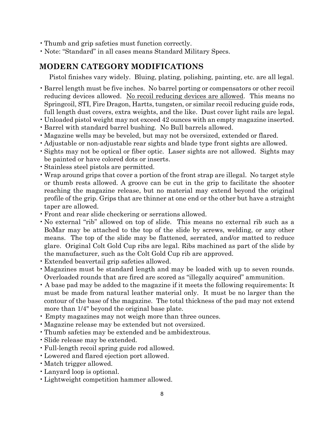- •Thumb and grip safeties must function correctly.
- Note: "Standard" in all cases means Standard Military Specs.

#### <span id="page-8-0"></span>**MODERN CATEGORY MODIFICATIONS**

Pistol finishes vary widely. Bluing, plating, polishing, painting, etc. are all legal.

- •Barrel length must be five inches. No barrel porting or compensators or other recoil reducing devices allowed. No recoil reducing devices are allowed. This means no Springcoil, STI, Fire Dragon, Hartts, tungsten, or similar recoil reducing guide rods, full length dust covers, extra weights, and the like. Dust cover light rails are legal.
- Unloaded pistol weight may not exceed 42 ounces with an empty magazine inserted.
- •Barrel with standard barrel bushing. No Bull barrels allowed.
- •Magazine wells may be beveled, but may not be oversized, extended or flared.
- •Adjustable or non-adjustable rear sights and blade type front sights are allowed.
- •Sights may not be optical or fiber optic. Laser sights are not allowed. Sights may be painted or have colored dots or inserts.
- •Stainless steel pistols are permitted.
- •Wrap around grips that cover a portion of the front strap are illegal. No target style or thumb rests allowed. A groove can be cut in the grip to facilitate the shooter reaching the magazine release, but no material may extend beyond the original profile of the grip. Grips that are thinner at one end or the other but have a straight taper are allowed.
- •Front and rear slide checkering or serrations allowed.
- No external "rib" allowed on top of slide. This means no external rib such as a BoMar may be attached to the top of the slide by screws, welding, or any other means. The top of the slide may be flattened, serrated, and/or matted to reduce glare. Original Colt Gold Cup ribs are legal. Ribs machined as part of the slide by the manufacturer, such as the Colt Gold Cup rib are approved.
- •Extended beavertail grip safeties allowed.
- •Magazines must be standard length and may be loaded with up to seven rounds. Overloaded rounds that are fired are scored as "illegally acquired" ammunition.
- A base pad may be added to the magazine if it meets the following requirements: It must be made from natural leather material only. It must be no larger than the contour of the base of the magazine. The total thickness of the pad may not extend more than 1/4" beyond the original base plate.
- Empty magazines may not weigh more than three ounces.
- •Magazine release may be extended but not oversized.
- •Thumb safeties may be extended and be ambidextrous.
- •Slide release may be extended.
- •Full-length recoil spring guide rod allowed.
- •Lowered and flared ejection port allowed.
- •Match trigger allowed.
- •Lanyard loop is optional.
- •Lightweight competition hammer allowed.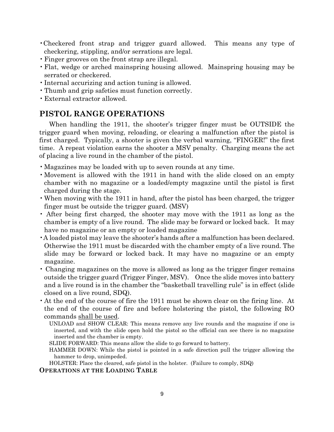- •Checkered front strap and trigger guard allowed. This means any type of checkering, stippling, and/or serrations are legal.
- •Finger grooves on the front strap are illegal.
- •Flat, wedge or arched mainspring housing allowed. Mainspring housing may be serrated or checkered.
- •Internal accurizing and action tuning is allowed.
- Thumb and grip safeties must function correctly.
- •External extractor allowed.

#### <span id="page-9-0"></span>**PISTOL RANGE OPERATIONS**

When handling the 1911, the shooter's trigger finger must be OUTSIDE the trigger guard when moving, reloading, or clearing a malfunction after the pistol is first charged. Typically, a shooter is given the verbal warning, "FINGER!" the first time. A repeat violation earns the shooter a MSV penalty. Charging means the act of placing a live round in the chamber of the pistol.

- •Magazines may be loaded with up to seven rounds at any time.
- •Movement is allowed with the 1911 in hand with the slide closed on an empty chamber with no magazine or a loaded/empty magazine until the pistol is first charged during the stage.
- •When moving with the 1911 in hand, after the pistol has been charged, the trigger finger must be outside the trigger guard. (MSV)
- After being first charged, the shooter may move with the 1911 as long as the chamber is empty of a live round. The slide may be forward or locked back. It may have no magazine or an empty or loaded magazine
- •A loaded pistol may leave the shooter's hands after a malfunction has been declared. Otherwise the 1911 must be discarded with the chamber empty of a live round. The slide may be forward or locked back. It may have no magazine or an empty magazine.
- Changing magazines on the move is allowed as long as the trigger finger remains outside the trigger guard (Trigger Finger, MSV). Once the slide moves into battery and a live round is in the chamber the "basketball travelling rule" is in effect (slide closed on a live round, SDQ).
- •At the end of the course of fire the 1911 must be shown clear on the firing line. At the end of the course of fire and before holstering the pistol, the following RO commands shall be used.
	- UNLOAD and SHOW CLEAR: This means remove any live rounds and the magazine if one is inserted, and with the slide open hold the pistol so the official can see there is no magazine inserted and the chamber is empty.
	- SLIDE FORWARD: This means allow the slide to go forward to battery.
	- HAMMER DOWN: While the pistol is pointed in a safe direction pull the trigger allowing the hammer to drop, unimpeded.

HOLSTER: Place the cleared, safe pistol in the holster. (Failure to comply, SDQ)

<span id="page-9-1"></span>**OPERATIONS AT THE LOADING TABLE**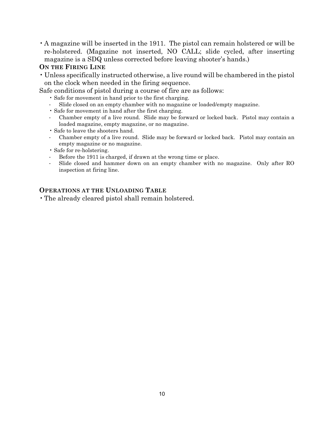•A magazine will be inserted in the 1911. The pistol can remain holstered or will be re-holstered. (Magazine not inserted, NO CALL; slide cycled, after inserting magazine is a SDQ unless corrected before leaving shooter's hands.)

#### <span id="page-10-0"></span>**ON THE FIRING LINE**

• Unless specifically instructed otherwise, a live round will be chambered in the pistol on the clock when needed in the firing sequence.

Safe conditions of pistol during a course of fire are as follows:

- Safe for movement in hand prior to the first charging.
- Slide closed on an empty chamber with no magazine or loaded/empty magazine.
- Safe for movement in hand after the first charging.
- Chamber empty of a live round. Slide may be forward or locked back. Pistol may contain a loaded magazine, empty magazine, or no magazine.
- Safe to leave the shooters hand.
- Chamber empty of a live round. Slide may be forward or locked back. Pistol may contain an empty magazine or no magazine.
- Safe for re-holstering.
- Before the 1911 is charged, if drawn at the wrong time or place.
- Slide closed and hammer down on an empty chamber with no magazine. Only after RO inspection at firing line.

#### <span id="page-10-1"></span>**OPERATIONS AT THE UNLOADING TABLE**

•The already cleared pistol shall remain holstered.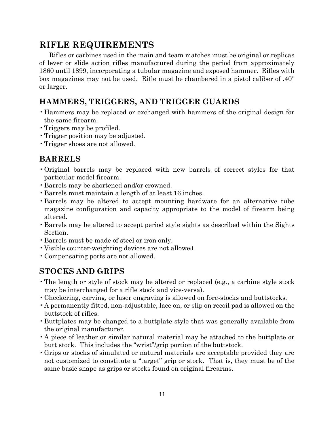## <span id="page-11-0"></span>**RIFLE REQUIREMENTS**

Rifles or carbines used in the main and team matches must be original or replicas of lever or slide action rifles manufactured during the period from approximately 1860 until 1899, incorporating a tubular magazine and exposed hammer. Rifles with box magazines may not be used. Rifle must be chambered in a pistol caliber of .40" or larger.

#### <span id="page-11-1"></span>**HAMMERS, TRIGGERS, AND TRIGGER GUARDS**

- Hammers may be replaced or exchanged with hammers of the original design for the same firearm.
- •Triggers may be profiled.
- •Trigger position may be adjusted.
- •Trigger shoes are not allowed.

#### <span id="page-11-2"></span>**BARRELS**

- •Original barrels may be replaced with new barrels of correct styles for that particular model firearm.
- •Barrels may be shortened and/or crowned.
- •Barrels must maintain a length of at least 16 inches.
- •Barrels may be altered to accept mounting hardware for an alternative tube magazine configuration and capacity appropriate to the model of firearm being altered.
- •Barrels may be altered to accept period style sights as described within the Sights Section.
- •Barrels must be made of steel or iron only.
- •Visible counter-weighting devices are not allowed.
- •Compensating ports are not allowed.

#### <span id="page-11-3"></span>**STOCKS AND GRIPS**

- •The length or style of stock may be altered or replaced (e.g., a carbine style stock may be interchanged for a rifle stock and vice-versa).
- •Checkering, carving, or laser engraving is allowed on fore-stocks and buttstocks.
- •A permanently fitted, non-adjustable, lace on, or slip on recoil pad is allowed on the buttstock of rifles.
- •Buttplates may be changed to a buttplate style that was generally available from the original manufacturer.
- •A piece of leather or similar natural material may be attached to the buttplate or butt stock. This includes the "wrist"/grip portion of the buttstock.
- •Grips or stocks of simulated or natural materials are acceptable provided they are not customized to constitute a "target" grip or stock. That is, they must be of the same basic shape as grips or stocks found on original firearms.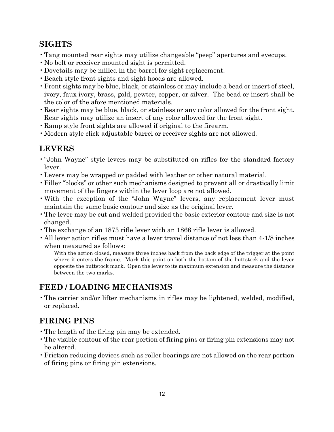#### <span id="page-12-0"></span>**SIGHTS**

- •Tang mounted rear sights may utilize changeable "peep" apertures and eyecups.
- No bolt or receiver mounted sight is permitted.
- •Dovetails may be milled in the barrel for sight replacement.
- •Beach style front sights and sight hoods are allowed.
- •Front sights may be blue, black, or stainless or may include a bead or insert of steel, ivory, faux ivory, brass, gold, pewter, copper, or silver. The bead or insert shall be the color of the afore mentioned materials.
- •Rear sights may be blue, black, or stainless or any color allowed for the front sight. Rear sights may utilize an insert of any color allowed for the front sight.
- •Ramp style front sights are allowed if original to the firearm.
- •Modern style click adjustable barrel or receiver sights are not allowed.

## <span id="page-12-1"></span>**LEVERS**

- •"John Wayne" style levers may be substituted on rifles for the standard factory lever.
- •Levers may be wrapped or padded with leather or other natural material.
- •Filler "blocks" or other such mechanisms designed to prevent all or drastically limit movement of the fingers within the lever loop are not allowed.
- •With the exception of the "John Wayne" levers, any replacement lever must maintain the same basic contour and size as the original lever.
- •The lever may be cut and welded provided the basic exterior contour and size is not changed.
- •The exchange of an 1873 rifle lever with an 1866 rifle lever is allowed.
- •All lever action rifles must have a lever travel distance of not less than 4-1/8 inches when measured as follows:

With the action closed, measure three inches back from the back edge of the trigger at the point where it enters the frame. Mark this point on both the bottom of the buttstock and the lever opposite the buttstock mark. Open the lever to its maximum extension and measure the distance between the two marks.

## <span id="page-12-2"></span>**FEED / LOADING MECHANISMS**

•The carrier and/or lifter mechanisms in rifles may be lightened, welded, modified, or replaced.

## <span id="page-12-3"></span>**FIRING PINS**

- •The length of the firing pin may be extended.
- •The visible contour of the rear portion of firing pins or firing pin extensions may not be altered.
- •Friction reducing devices such as roller bearings are not allowed on the rear portion of firing pins or firing pin extensions.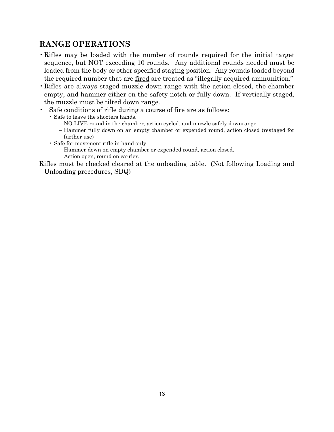## <span id="page-13-0"></span>**RANGE OPERATIONS**

- •Rifles may be loaded with the number of rounds required for the initial target sequence, but NOT exceeding 10 rounds. Any additional rounds needed must be loaded from the body or other specified staging position. Any rounds loaded beyond the required number that are fired are treated as "illegally acquired ammunition."
- •Rifles are always staged muzzle down range with the action closed, the chamber empty, and hammer either on the safety notch or fully down. If vertically staged, the muzzle must be tilted down range.
- Safe conditions of rifle during a course of fire are as follows:
- Safe to leave the shooters hands.
	- NO LIVE round in the chamber, action cycled, and muzzle safely downrange.
	- Hammer fully down on an empty chamber or expended round, action closed (restaged for further use)
	- Safe for movement rifle in hand only
		- Hammer down on empty chamber or expended round, action closed.
		- Action open, round on carrier.

Rifles must be checked cleared at the unloading table. (Not following Loading and Unloading procedures, SDQ)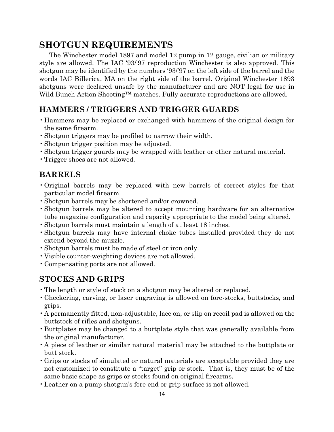## <span id="page-14-0"></span>**SHOTGUN REQUIREMENTS**

The Winchester model 1897 and model 12 pump in 12 gauge, civilian or military style are allowed. The IAC '93/'97 reproduction Winchester is also approved. This shotgun may be identified by the numbers '93/'97 on the left side of the barrel and the words IAC Billerica, MA on the right side of the barrel. Original Winchester 1893 shotguns were declared unsafe by the manufacturer and are NOT legal for use in Wild Bunch Action Shooting™ matches. Fully accurate reproductions are allowed.

#### <span id="page-14-1"></span>**HAMMERS / TRIGGERS AND TRIGGER GUARDS**

- Hammers may be replaced or exchanged with hammers of the original design for the same firearm.
- •Shotgun triggers may be profiled to narrow their width.
- •Shotgun trigger position may be adjusted.
- •Shotgun trigger guards may be wrapped with leather or other natural material.
- <span id="page-14-2"></span>•Trigger shoes are not allowed.

#### **BARRELS**

- •Original barrels may be replaced with new barrels of correct styles for that particular model firearm.
- •Shotgun barrels may be shortened and/or crowned.
- •Shotgun barrels may be altered to accept mounting hardware for an alternative tube magazine configuration and capacity appropriate to the model being altered.
- •Shotgun barrels must maintain a length of at least 18 inches.
- •Shotgun barrels may have internal choke tubes installed provided they do not extend beyond the muzzle.
- •Shotgun barrels must be made of steel or iron only.
- •Visible counter-weighting devices are not allowed.
- <span id="page-14-3"></span>•Compensating ports are not allowed.

#### **STOCKS AND GRIPS**

- •The length or style of stock on a shotgun may be altered or replaced.
- •Checkering, carving, or laser engraving is allowed on fore-stocks, buttstocks, and grips.
- •A permanently fitted, non-adjustable, lace on, or slip on recoil pad is allowed on the buttstock of rifles and shotguns.
- •Buttplates may be changed to a buttplate style that was generally available from the original manufacturer.
- •A piece of leather or similar natural material may be attached to the buttplate or butt stock.
- •Grips or stocks of simulated or natural materials are acceptable provided they are not customized to constitute a "target" grip or stock. That is, they must be of the same basic shape as grips or stocks found on original firearms.
- •Leather on a pump shotgun's fore end or grip surface is not allowed.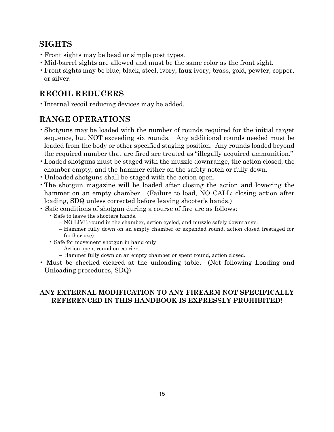#### <span id="page-15-0"></span>**SIGHTS**

- Front sights may be bead or simple post types.
- Mid-barrel sights are allowed and must be the same color as the front sight.
- •Front sights may be blue, black, steel, ivory, faux ivory, brass, gold, pewter, copper, or silver.

#### <span id="page-15-1"></span>**RECOIL REDUCERS**

•Internal recoil reducing devices may be added.

## <span id="page-15-2"></span>**RANGE OPERATIONS**

- •Shotguns may be loaded with the number of rounds required for the initial target sequence, but NOT exceeding six rounds. Any additional rounds needed must be loaded from the body or other specified staging position. Any rounds loaded beyond the required number that are fired are treated as "illegally acquired ammunition."
- •Loaded shotguns must be staged with the muzzle downrange, the action closed, the chamber empty, and the hammer either on the safety notch or fully down.
- Unloaded shotguns shall be staged with the action open.
- •The shotgun magazine will be loaded after closing the action and lowering the hammer on an empty chamber. (Failure to load, NO CALL; closing action after loading, SDQ unless corrected before leaving shooter's hands.)
- Safe conditions of shotgun during a course of fire are as follows:
	- Safe to leave the shooters hands.
		- NO LIVE round in the chamber, action cycled, and muzzle safely downrange.
		- Hammer fully down on an empty chamber or expended round, action closed (restaged for further use)
	- Safe for movement shotgun in hand only
		- Action open, round on carrier.
		- Hammer fully down on an empty chamber or spent round, action closed.
- Must be checked cleared at the unloading table. (Not following Loading and Unloading procedures, SDQ)

#### **ANY EXTERNAL MODIFICATION TO ANY FIREARM NOT SPECIFICALLY REFERENCED IN THIS HANDBOOK IS EXPRESSLY PROHIBITED**!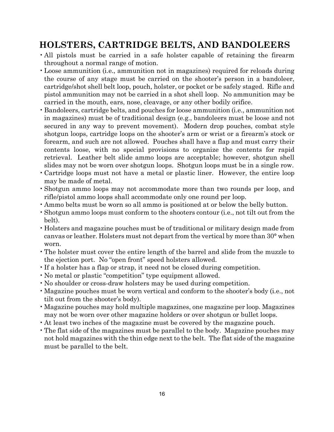## <span id="page-16-0"></span>**HOLSTERS, CARTRIDGE BELTS, AND BANDOLEERS**

- •All pistols must be carried in a safe holster capable of retaining the firearm throughout a normal range of motion.
- •Loose ammunition (i.e., ammunition not in magazines) required for reloads during the course of any stage must be carried on the shooter's person in a bandoleer, cartridge/shot shell belt loop, pouch, holster, or pocket or be safely staged. Rifle and pistol ammunition may not be carried in a shot shell loop. No ammunition may be carried in the mouth, ears, nose, cleavage, or any other bodily orifice.
- •Bandoleers, cartridge belts, and pouches for loose ammunition (i.e., ammunition not in magazines) must be of traditional design (e.g., bandoleers must be loose and not secured in any way to prevent movement). Modern drop pouches, combat style shotgun loops, cartridge loops on the shooter's arm or wrist or a firearm's stock or forearm, and such are not allowed. Pouches shall have a flap and must carry their contents loose, with no special provisions to organize the contents for rapid retrieval. Leather belt slide ammo loops are acceptable; however, shotgun shell slides may not be worn over shotgun loops. Shotgun loops must be in a single row.
- •Cartridge loops must not have a metal or plastic liner. However, the entire loop may be made of metal.
- •Shotgun ammo loops may not accommodate more than two rounds per loop, and rifle/pistol ammo loops shall accommodate only one round per loop.
- •Ammo belts must be worn so all ammo is positioned at or below the belly button.
- •Shotgun ammo loops must conform to the shooters contour (i.e., not tilt out from the belt).
- Holsters and magazine pouches must be of traditional or military design made from canvas or leather. Holsters must not depart from the vertical by more than 30° when worn.
- •The holster must cover the entire length of the barrel and slide from the muzzle to the ejection port. No "open front" speed holsters allowed.
- •If a holster has a flap or strap, it need not be closed during competition.
- No metal or plastic "competition" type equipment allowed.
- No shoulder or cross-draw holsters may be used during competition.
- •Magazine pouches must be worn vertical and conform to the shooter's body (i.e., not tilt out from the shooter's body).
- •Magazine pouches may hold multiple magazines, one magazine per loop. Magazines may not be worn over other magazine holders or over shotgun or bullet loops.
- •At least two inches of the magazine must be covered by the magazine pouch.
- •The flat side of the magazines must be parallel to the body. Magazine pouches may not hold magazines with the thin edge next to the belt. The flat side of the magazine must be parallel to the belt.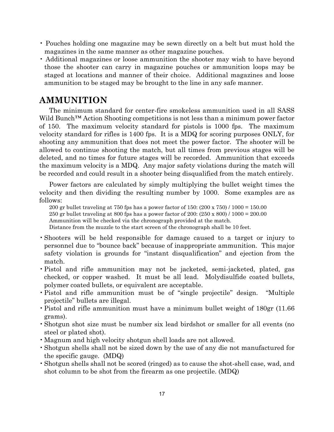- Pouches holding one magazine may be sewn directly on a belt but must hold the magazines in the same manner as other magazine pouches.
- Additional magazines or loose ammunition the shooter may wish to have beyond those the shooter can carry in magazine pouches or ammunition loops may be staged at locations and manner of their choice. Additional magazines and loose ammunition to be staged may be brought to the line in any safe manner.

#### <span id="page-17-0"></span>**AMMUNITION**

The minimum standard for center-fire smokeless ammunition used in all SASS Wild Bunch<sup>™</sup> Action Shooting competitions is not less than a minimum power factor of 150. The maximum velocity standard for pistols is 1000 fps. The maximum velocity standard for rifles is 1400 fps. It is a MDQ for scoring purposes ONLY, for shooting any ammunition that does not meet the power factor. The shooter will be allowed to continue shooting the match, but all times from previous stages will be deleted, and no times for future stages will be recorded. Ammunition that exceeds the maximum velocity is a MDQ. Any major safety violations during the match will be recorded and could result in a shooter being disqualified from the match entirely.

Power factors are calculated by simply multiplying the bullet weight times the velocity and then dividing the resulting number by 1000. Some examples are as follows:

200 gr bullet traveling at 750 fps has a power factor of 150: (200 x 750) / 1000 = 150.00 250 gr bullet traveling at 800 fps has a power factor of 200: (250 x 800) / 1000 = 200.00 Ammunition will be checked via the chronograph provided at the match. Distance from the muzzle to the start screen of the chronograph shall be 10 feet.

- •Shooters will be held responsible for damage caused to a target or injury to personnel due to "bounce back" because of inappropriate ammunition. This major safety violation is grounds for "instant disqualification" and ejection from the match.
- •Pistol and rifle ammunition may not be jacketed, semi-jacketed, plated, gas checked, or copper washed. It must be all lead. Molydisulfide coated bullets, polymer coated bullets, or equivalent are acceptable.
- •Pistol and rifle ammunition must be of "single projectile" design. "Multiple projectile" bullets are illegal.
- •Pistol and rifle ammunition must have a minimum bullet weight of 180gr (11.66 grams).
- •Shotgun shot size must be number six lead birdshot or smaller for all events (no steel or plated shot).
- •Magnum and high velocity shotgun shell loads are not allowed.
- •Shotgun shells shall not be sized down by the use of any die not manufactured for the specific gauge. (MDQ)
- •Shotgun shells shall not be scored (ringed) as to cause the shot-shell case, wad, and shot column to be shot from the firearm as one projectile. (MDQ)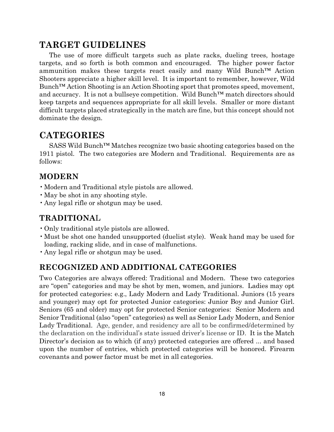## <span id="page-18-0"></span>**TARGET GUIDELINES**

The use of more difficult targets such as plate racks, dueling trees, hostage targets, and so forth is both common and encouraged. The higher power factor ammunition makes these targets react easily and many Wild Bunch™ Action Shooters appreciate a higher skill level. It is important to remember, however, Wild Bunch™ Action Shooting is an Action Shooting sport that promotes speed, movement, and accuracy. It is not a bullseye competition. Wild Bunch™ match directors should keep targets and sequences appropriate for all skill levels. Smaller or more distant difficult targets placed strategically in the match are fine, but this concept should not dominate the design.

## <span id="page-18-1"></span>**CATEGORIES**

SASS Wild Bunch™ Matches recognize two basic shooting categories based on the 1911 pistol. The two categories are Modern and Traditional. Requirements are as follows:

#### <span id="page-18-2"></span>**MODERN**

- •Modern and Traditional style pistols are allowed.
- •May be shot in any shooting style.
- •Any legal rifle or shotgun may be used.

#### <span id="page-18-3"></span>**TRADITIONA**L

- •Only traditional style pistols are allowed.
- •Must be shot one handed unsupported (duelist style). Weak hand may be used for loading, racking slide, and in case of malfunctions.
- •Any legal rifle or shotgun may be used.

#### <span id="page-18-4"></span>**RECOGNIZED AND ADDITIONAL CATEGORIES**

Two Categories are always offered: Traditional and Modern. These two categories are "open" categories and may be shot by men, women, and juniors. Ladies may opt for protected categories: e.g., Lady Modern and Lady Traditional. Juniors (15 years and younger) may opt for protected Junior categories: Junior Boy and Junior Girl. Seniors (65 and older) may opt for protected Senior categories: Senior Modern and Senior Traditional (also "open" categories) as well as Senior Lady Modern, and Senior Lady Traditional. Age, gender, and residency are all to be confirmed/determined by the declaration on the individual's state issued driver's license or ID. It is the Match Director's decision as to which (if any) protected categories are offered ... and based upon the number of entries, which protected categories will be honored. Firearm covenants and power factor must be met in all categories.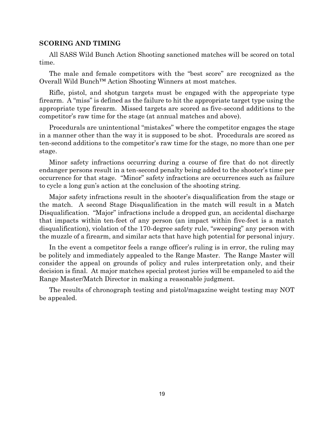#### **SCORING AND TIMING**

All SASS Wild Bunch Action Shooting sanctioned matches will be scored on total time.

The male and female competitors with the "best score" are recognized as the Overall Wild Bunch™ Action Shooting Winners at most matches.

Rifle, pistol, and shotgun targets must be engaged with the appropriate type firearm. A "miss" is defined as the failure to hit the appropriate target type using the appropriate type firearm. Missed targets are scored as five-second additions to the competitor's raw time for the stage (at annual matches and above).

Procedurals are unintentional "mistakes" where the competitor engages the stage in a manner other than the way it is supposed to be shot. Procedurals are scored as ten-second additions to the competitor's raw time for the stage, no more than one per stage.

Minor safety infractions occurring during a course of fire that do not directly endanger persons result in a ten-second penalty being added to the shooter's time per occurrence for that stage. "Minor" safety infractions are occurrences such as failure to cycle a long gun's action at the conclusion of the shooting string.

Major safety infractions result in the shooter's disqualification from the stage or the match. A second Stage Disqualification in the match will result in a Match Disqualification. "Major" infractions include a dropped gun, an accidental discharge that impacts within ten-feet of any person (an impact within five-feet is a match disqualification), violation of the 170-degree safety rule, "sweeping" any person with the muzzle of a firearm, and similar acts that have high potential for personal injury.

In the event a competitor feels a range officer's ruling is in error, the ruling may be politely and immediately appealed to the Range Master. The Range Master will consider the appeal on grounds of policy and rules interpretation only, and their decision is final. At major matches special protest juries will be empaneled to aid the Range Master/Match Director in making a reasonable judgment.

The results of chronograph testing and pistol/magazine weight testing may NOT be appealed.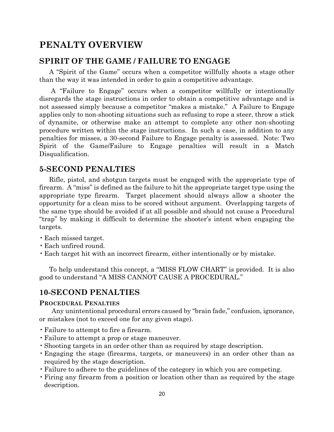#### <span id="page-20-0"></span>**PENALTY OVERVIEW**

#### <span id="page-20-1"></span>**SPIRIT OF THE GAME / FAILURE TO ENGAGE**

A "Spirit of the Game" occurs when a competitor willfully shoots a stage other than the way it was intended in order to gain a competitive advantage.

A "Failure to Engage" occurs when a competitor willfully or intentionally disregards the stage instructions in order to obtain a competitive advantage and is not assessed simply because a competitor "makes a mistake." A Failure to Engage applies only to non-shooting situations such as refusing to rope a steer, throw a stick of dynamite, or otherwise make an attempt to complete any other non-shooting procedure written within the stage instructions. In such a case, in addition to any penalties for misses, a 30-second Failure to Engage penalty is assessed. Note: Two Spirit of the Game/Failure to Engage penalties will result in a Match Disqualification.

#### <span id="page-20-2"></span>**5-SECOND PENALTIES**

Rifle, pistol, and shotgun targets must be engaged with the appropriate type of firearm. A "miss" is defined as the failure to hit the appropriate target type using the appropriate type firearm. Target placement should always allow a shooter the opportunity for a clean miss to be scored without argument. Overlapping targets of the same type should be avoided if at all possible and should not cause a Procedural "trap" by making it difficult to determine the shooter's intent when engaging the targets.

- •Each missed target.
- •Each unfired round.
- •Each target hit with an incorrect firearm, either intentionally or by mistake.

To help understand this concept, a "MISS FLOW CHART" is provided. It is also good to understand "A MISS CANNOT CAUSE A PROCEDURAL."

#### <span id="page-20-3"></span>**10-SECOND PENALTIES**

#### <span id="page-20-4"></span>**PROCEDURAL PENALTIES**

Any unintentional procedural errors caused by "brain fade," confusion, ignorance, or mistakes (not to exceed one for any given stage).

- •Failure to attempt to fire a firearm.
- •Failure to attempt a prop or stage maneuver.
- •Shooting targets in an order other than as required by stage description.
- •Engaging the stage (firearms, targets, or maneuvers) in an order other than as required by the stage description.
- •Failure to adhere to the guidelines of the category in which you are competing.
- •Firing any firearm from a position or location other than as required by the stage description.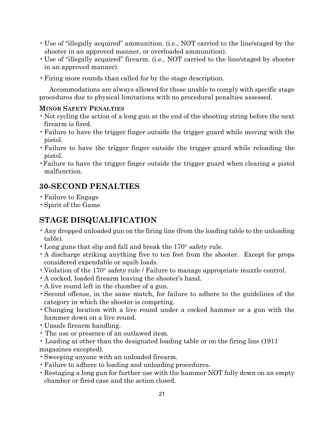- Use of "illegally acquired" ammunition. (i.e., NOT carried to the line/staged by the shooter in an approved manner, or overloaded ammunition).
- Use of "illegally acquired" firearm. (i.e., NOT carried to the line/staged by shooter in an approved manner).
- •Firing more rounds than called for by the stage description.

Accommodations are always allowed for those unable to comply with specific stage procedures due to physical limitations with no procedural penalties assessed.

#### <span id="page-21-0"></span>**MINOR SAFETY PENALTIES**

- Not cycling the action of a long gun at the end of the shooting string before the next firearm is fired.
- •Failure to have the trigger finger outside the trigger guard while moving with the pistol.
- •Failure to have the trigger finger outside the trigger guard while reloading the pistol.
- •Failure to have the trigger finger outside the trigger guard when clearing a pistol malfunction.

#### <span id="page-21-1"></span>**30-SECOND PENALTIES**

- •Failure to Engage
- •Spirit of the Game

## <span id="page-21-2"></span>**STAGE DISQUALIFICATION**

- •Any dropped unloaded gun on the firing line (from the loading table to the unloading table).
- Long guns that slip and fall and break the 170° safety rule.
- •A discharge striking anything five to ten feet from the shooter. Except for props considered expendable or squib loads.
- Violation of the 170° safety rule / Failure to manage appropriate muzzle control.
- •A cocked, loaded firearm leaving the shooter's hand.
- •A live round left in the chamber of a gun.
- •Second offense, in the same match, for failure to adhere to the guidelines of the category in which the shooter is competing.
- •Changing location with a live round under a cocked hammer or a gun with the hammer down on a live round.
- Unsafe firearm handling.
- The use or presence of an outlawed item.
- Loading at other than the designated loading table or on the firing line (1911 magazines excepted).
- •Sweeping anyone with an unloaded firearm.
- •Failure to adhere to loading and unloading procedures.
- •Restaging a long gun for further use with the hammer NOT fully down on an empty chamber or fired case and the action closed.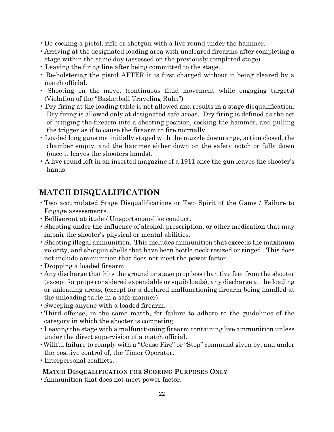- De-cocking a pistol, rifle or shotgun with a live round under the hammer.
- Arriving at the designated loading area with uncleared firearms after completing a stage within the same day (assessed on the previously completed stage).
- Leaving the firing line after being committed to the stage.
- Re-holstering the pistol AFTER it is first charged without it being cleared by a match official.
- Shooting on the move. (continuous fluid movement while engaging targets) (Violation of the "Basketball Traveling Rule.")
- Dry firing at the loading table is not allowed and results in a stage disqualification. Dry firing is allowed only at designated safe areas. Dry firing is defined as the act of bringing the firearm into a shooting position, cocking the hammer, and pulling the trigger as if to cause the firearm to fire normally.
- Loaded long guns not initially staged with the muzzle downrange, action closed, the chamber empty, and the hammer either down on the safety notch or fully down (once it leaves the shooters hands).
- A live round left in an inserted magazine of a 1911 once the gun leaves the shooter's hands.

## <span id="page-22-0"></span>**MATCH DISQUALIFICATION**

- •Two accumulated Stage Disqualifications or Two Spirit of the Game / Failure to Engage assessments.
- •Belligerent attitude / Unsportsman-like conduct.
- •Shooting under the influence of alcohol, prescription, or other medication that may impair the shooter's physical or mental abilities.
- •Shooting illegal ammunition. This includes ammunition that exceeds the maximum velocity, and shotgun shells that have been bottle-neck resized or ringed. This does not include ammunition that does not meet the power factor.
- •Dropping a loaded firearm.
- •Any discharge that hits the ground or stage prop less than five feet from the shooter (except for props considered expendable or squib loads), any discharge at the loading or unloading areas, (except for a declared malfunctioning firearm being handled at the unloading table in a safe manner).
- •Sweeping anyone with a loaded firearm.
- •Third offense, in the same match, for failure to adhere to the guidelines of the category in which the shooter is competing.
- •Leaving the stage with a malfunctioning firearm containing live ammunition unless under the direct supervision of a match official.
- •Willful failure to comply with a "Cease Fire" or "Stop" command given by, and under the positive control of, the Timer Operator.
- Interpersonal conflicts.

#### <span id="page-22-1"></span>**MATCH DISQUALIFICATION FOR SCORING PURPOSES ONLY**

•Ammunition that does not meet power factor.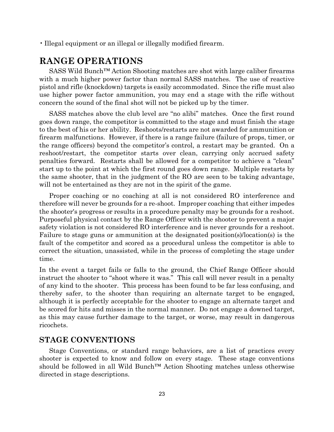• Illegal equipment or an illegal or illegally modified firearm.

## <span id="page-23-0"></span>**RANGE OPERATIONS**

SASS Wild Bunch™ Action Shooting matches are shot with large caliber firearms with a much higher power factor than normal SASS matches. The use of reactive pistol and rifle (knockdown) targets is easily accommodated. Since the rifle must also use higher power factor ammunition, you may end a stage with the rifle without concern the sound of the final shot will not be picked up by the timer.

SASS matches above the club level are "no alibi" matches. Once the first round goes down range, the competitor is committed to the stage and must finish the stage to the best of his or her ability. Reshoots/restarts are not awarded for ammunition or firearm malfunctions. However, if there is a range failure (failure of props, timer, or the range officers) beyond the competitor's control, a restart may be granted. On a reshoot/restart, the competitor starts over clean, carrying only accrued safety penalties forward. Restarts shall be allowed for a competitor to achieve a "clean" start up to the point at which the first round goes down range. Multiple restarts by the same shooter, that in the judgment of the RO are seen to be taking advantage, will not be entertained as they are not in the spirit of the game.

Proper coaching or no coaching at all is not considered RO interference and therefore will never be grounds for a re-shoot. Improper coaching that either impedes the shooter's progress or results in a procedure penalty may be grounds for a reshoot. Purposeful physical contact by the Range Officer with the shooter to prevent a major safety violation is not considered RO interference and is never grounds for a reshoot. Failure to stage guns or ammunition at the designated position(s)/location(s) is the fault of the competitor and scored as a procedural unless the competitor is able to correct the situation, unassisted, while in the process of completing the stage under time.

In the event a target fails or falls to the ground, the Chief Range Officer should instruct the shooter to "shoot where it was." This call will never result in a penalty of any kind to the shooter. This process has been found to be far less confusing, and thereby safer, to the shooter than requiring an alternate target to be engaged, although it is perfectly acceptable for the shooter to engage an alternate target and be scored for hits and misses in the normal manner. Do not engage a downed target, as this may cause further damage to the target, or worse, may result in dangerous ricochets.

#### <span id="page-23-1"></span>**STAGE CONVENTIONS**

Stage Conventions, or standard range behaviors, are a list of practices every shooter is expected to know and follow on every stage. These stage conventions should be followed in all Wild Bunch™ Action Shooting matches unless otherwise directed in stage descriptions.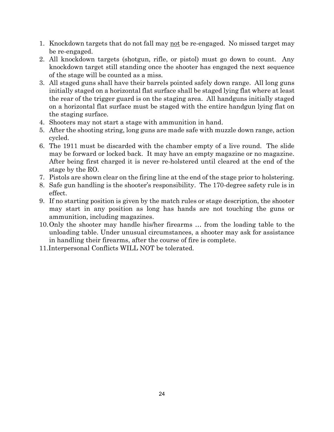- 1. Knockdown targets that do not fall may not be re-engaged. No missed target may be re-engaged.
- 2. All knockdown targets (shotgun, rifle, or pistol) must go down to count. Any knockdown target still standing once the shooter has engaged the next sequence of the stage will be counted as a miss.
- 3. All staged guns shall have their barrels pointed safely down range. All long guns initially staged on a horizontal flat surface shall be staged lying flat where at least the rear of the trigger guard is on the staging area. All handguns initially staged on a horizontal flat surface must be staged with the entire handgun lying flat on the staging surface.
- 4. Shooters may not start a stage with ammunition in hand.
- 5. After the shooting string, long guns are made safe with muzzle down range, action cycled.
- 6. The 1911 must be discarded with the chamber empty of a live round. The slide may be forward or locked back. It may have an empty magazine or no magazine. After being first charged it is never re-holstered until cleared at the end of the stage by the RO.
- 7. Pistols are shown clear on the firing line at the end of the stage prior to holstering.
- 8. Safe gun handling is the shooter's responsibility. The 170-degree safety rule is in effect.
- 9. If no starting position is given by the match rules or stage description, the shooter may start in any position as long has hands are not touching the guns or ammunition, including magazines.
- 10.Only the shooter may handle his/her firearms … from the loading table to the unloading table. Under unusual circumstances, a shooter may ask for assistance in handling their firearms, after the course of fire is complete.
- 11.Interpersonal Conflicts WILL NOT be tolerated.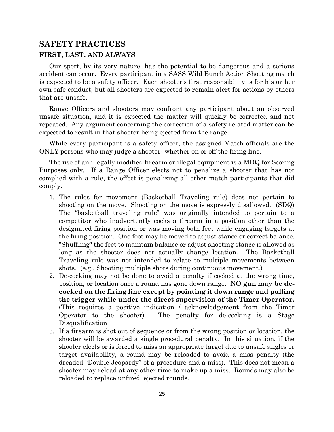#### <span id="page-25-0"></span>**SAFETY PRACTICES FIRST, LAST, AND ALWAYS**

Our sport, by its very nature, has the potential to be dangerous and a serious accident can occur. Every participant in a SASS Wild Bunch Action Shooting match is expected to be a safety officer. Each shooter's first responsibility is for his or her own safe conduct, but all shooters are expected to remain alert for actions by others that are unsafe.

Range Officers and shooters may confront any participant about an observed unsafe situation, and it is expected the matter will quickly be corrected and not repeated. Any argument concerning the correction of a safety related matter can be expected to result in that shooter being ejected from the range.

While every participant is a safety officer, the assigned Match officials are the ONLY persons who may judge a shooter- whether on or off the firing line.

The use of an illegally modified firearm or illegal equipment is a MDQ for Scoring Purposes only. If a Range Officer elects not to penalize a shooter that has not complied with a rule, the effect is penalizing all other match participants that did comply.

- 1. The rules for movement (Basketball Traveling rule) does not pertain to shooting on the move. Shooting on the move is expressly disallowed. (SDQ) The "basketball traveling rule" was originally intended to pertain to a competitor who inadvertently cocks a firearm in a position other than the designated firing position or was moving both feet while engaging targets at the firing position. One foot may be moved to adjust stance or correct balance. "Shuffling" the feet to maintain balance or adjust shooting stance is allowed as long as the shooter does not actually change location. The Basketball Traveling rule was not intended to relate to multiple movements between shots. (e.g., Shooting multiple shots during continuous movement.)
- 2. De-cocking may not be done to avoid a penalty if cocked at the wrong time, position, or location once a round has gone down range. **NO gun may be decocked on the firing line except by pointing it down range and pulling the trigger while under the direct supervision of the Timer Operator.** (This requires a positive indication / acknowledgement from the Timer Operator to the shooter). The penalty for de-cocking is a Stage Disqualification.
- 3. If a firearm is shot out of sequence or from the wrong position or location, the shooter will be awarded a single procedural penalty. In this situation, if the shooter elects or is forced to miss an appropriate target due to unsafe angles or target availability, a round may be reloaded to avoid a miss penalty (the dreaded "Double Jeopardy" of a procedure and a miss). This does not mean a shooter may reload at any other time to make up a miss. Rounds may also be reloaded to replace unfired, ejected rounds.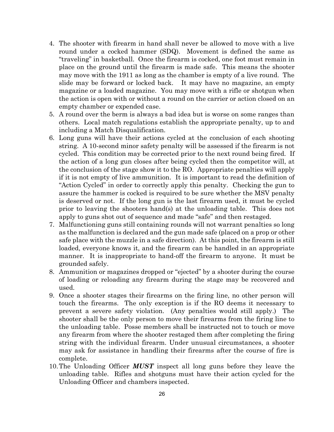- 4. The shooter with firearm in hand shall never be allowed to move with a live round under a cocked hammer (SDQ). Movement is defined the same as "traveling" in basketball. Once the firearm is cocked, one foot must remain in place on the ground until the firearm is made safe. This means the shooter may move with the 1911 as long as the chamber is empty of a live round. The slide may be forward or locked back. It may have no magazine, an empty magazine or a loaded magazine. You may move with a rifle or shotgun when the action is open with or without a round on the carrier or action closed on an empty chamber or expended case.
- 5. A round over the berm is always a bad idea but is worse on some ranges than others. Local match regulations establish the appropriate penalty, up to and including a Match Disqualification.
- 6. Long guns will have their actions cycled at the conclusion of each shooting string. A 10-second minor safety penalty will be assessed if the firearm is not cycled. This condition may be corrected prior to the next round being fired. If the action of a long gun closes after being cycled then the competitor will, at the conclusion of the stage show it to the RO. Appropriate penalties will apply if it is not empty of live ammunition. It is important to read the definition of "Action Cycled" in order to correctly apply this penalty. Checking the gun to assure the hammer is cocked is required to be sure whether the MSV penalty is deserved or not. If the long gun is the last firearm used, it must be cycled prior to leaving the shooters hand(s) at the unloading table. This does not apply to guns shot out of sequence and made "safe" and then restaged.
- 7. Malfunctioning guns still containing rounds will not warrant penalties so long as the malfunction is declared and the gun made safe (placed on a prop or other safe place with the muzzle in a safe direction). At this point, the firearm is still loaded, everyone knows it, and the firearm can be handled in an appropriate manner. It is inappropriate to hand-off the firearm to anyone. It must be grounded safely.
- 8. Ammunition or magazines dropped or "ejected" by a shooter during the course of loading or reloading any firearm during the stage may be recovered and used.
- 9. Once a shooter stages their firearms on the firing line, no other person will touch the firearms. The only exception is if the RO deems it necessary to prevent a severe safety violation. (Any penalties would still apply.) The shooter shall be the only person to move their firearms from the firing line to the unloading table. Posse members shall be instructed not to touch or move any firearm from where the shooter restaged them after completing the firing string with the individual firearm. Under unusual circumstances, a shooter may ask for assistance in handling their firearms after the course of fire is complete.
- 10.The Unloading Officer *MUST* inspect all long guns before they leave the unloading table. Rifles and shotguns must have their action cycled for the Unloading Officer and chambers inspected.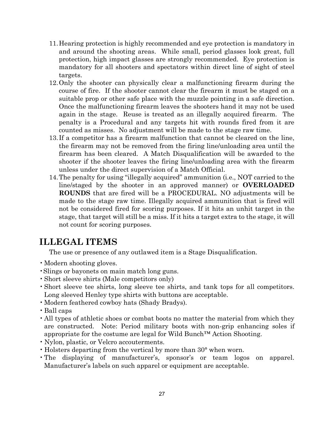- 11.Hearing protection is highly recommended and eye protection is mandatory in and around the shooting areas. While small, period glasses look great, full protection, high impact glasses are strongly recommended. Eye protection is mandatory for all shooters and spectators within direct line of sight of steel targets.
- 12.Only the shooter can physically clear a malfunctioning firearm during the course of fire. If the shooter cannot clear the firearm it must be staged on a suitable prop or other safe place with the muzzle pointing in a safe direction. Once the malfunctioning firearm leaves the shooters hand it may not be used again in the stage. Reuse is treated as an illegally acquired firearm. The penalty is a Procedural and any targets hit with rounds fired from it are counted as misses. No adjustment will be made to the stage raw time.
- 13.If a competitor has a firearm malfunction that cannot be cleared on the line, the firearm may not be removed from the firing line/unloading area until the firearm has been cleared. A Match Disqualification will be awarded to the shooter if the shooter leaves the firing line/unloading area with the firearm unless under the direct supervision of a Match Official.
- 14.The penalty for using "illegally acquired" ammunition (i.e., NOT carried to the line/staged by the shooter in an approved manner) or **OVERLOADED ROUNDS** that are fired will be a PROCEDURAL. NO adjustments will be made to the stage raw time. Illegally acquired ammunition that is fired will not be considered fired for scoring purposes. If it hits an unhit target in the stage, that target will still be a miss. If it hits a target extra to the stage, it will not count for scoring purposes.

## <span id="page-27-0"></span>**ILLEGAL ITEMS**

The use or presence of any outlawed item is a Stage Disqualification.

- Modern shooting gloves.
- •Slings or bayonets on main match long guns.
- •Short sleeve shirts (Male competitors only)
- •Short sleeve tee shirts, long sleeve tee shirts, and tank tops for all competitors. Long sleeved Henley type shirts with buttons are acceptable.
- •Modern feathered cowboy hats (Shady Bradys).
- •Ball caps
- •All types of athletic shoes or combat boots no matter the material from which they are constructed. Note: Period military boots with non-grip enhancing soles if appropriate for the costume are legal for Wild Bunch™ Action Shooting.
- Nylon, plastic, or Velcro accouterments.
- Holsters departing from the vertical by more than 30° when worn.
- •The displaying of manufacturer's, sponsor's or team logos on apparel. Manufacturer's labels on such apparel or equipment are acceptable.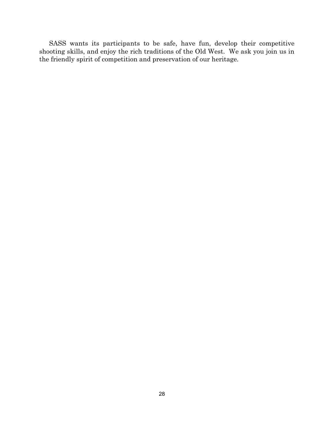SASS wants its participants to be safe, have fun, develop their competitive shooting skills, and enjoy the rich traditions of the Old West. We ask you join us in the friendly spirit of competition and preservation of our heritage.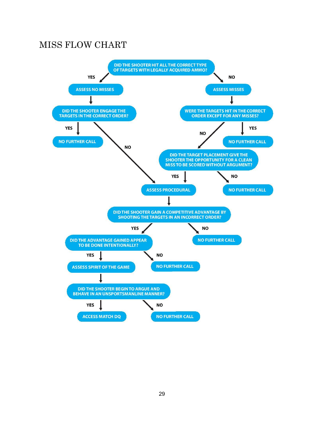## <span id="page-29-0"></span>MISS FLOW CHART

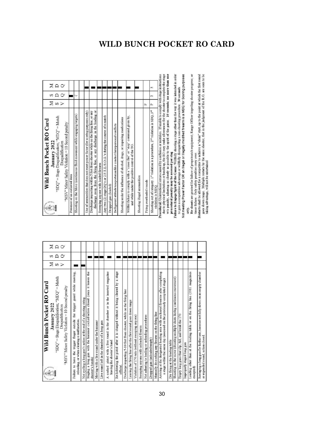| Wild Bunch Pocket RO Card<br>January 2022<br>Strange society<br>43<br>South Masse                                                                            |                         |     | Σ                 |
|--------------------------------------------------------------------------------------------------------------------------------------------------------------|-------------------------|-----|-------------------|
| "SDQ" = Stage Disqualification; "MDQ" = Match<br>"MSV" Minor Safety Violation = 10 Second penalty<br>Disqualification                                        | $\leq$ $\approx$ $\geq$ | ທ ∩ | $\Box$<br>$\circ$ |
| guard while moving,<br>the trigger<br>Failure to have the trigger finger outside<br>reloading, or when clearing a malfunction.                               |                         |     |                   |
| Not cycling a long gun's action at the end of a shooting string                                                                                              |                         |     |                   |
| Staging a long gun with the hammer cocked/action closed (once it leaves the<br>shooter's hands                                                               |                         |     |                   |
| Moving with a live round under the hammer                                                                                                                    |                         |     |                   |
| Live round left in the chamber of a long gun                                                                                                                 |                         |     |                   |
| A cocked pistol with a live round in the chamber or in the inserted magazine<br>leaving the shooter's hand                                                   |                         |     |                   |
| stage<br>$\overline{a}$<br>Re-holstering the pistol after it is charged without it being cleared by<br>official.                                             |                         |     |                   |
| Discharge impacting 5-10 feet from shooter, while on the firing line                                                                                         |                         |     |                   |
| Leaving the firing line after the first round goes down range                                                                                                |                         |     |                   |
| Violation of 170 rule (without sweeping anyone)                                                                                                              |                         |     |                   |
| Sweeping anyone with unloaded firearm                                                                                                                        |                         |     |                   |
| Not adhering to loading or unloading procedures                                                                                                              |                         |     |                   |
| Dropped gun (unloaded/empty)                                                                                                                                 |                         |     |                   |
| Manually de-cocking any firearm on the firing line                                                                                                           |                         |     |                   |
| Arriving at the designated loading area with uncleared firearms after completing<br>a stage within the same day (assessed on the previously completed stage) |                         |     |                   |
| Dry firing at the loading table                                                                                                                              |                         |     |                   |
| Shooting on the move (shooting multiple shots during continuous movement)                                                                                    |                         |     |                   |
| Empty long guns that slip, fall, and break the 170                                                                                                           |                         |     |                   |
| Improperly staged long gun                                                                                                                                   |                         |     |                   |
| Loading other than at the loading table or on the firing line (1911 magazines<br>excepted)                                                                   |                         |     |                   |
| Restaging a long gun for further use, hammer not fully down on an empty chamber<br>or expended round, action closed.                                         |                         |     |                   |
|                                                                                                                                                              |                         |     |                   |

<span id="page-30-0"></span>

| Σ<br>January 2022<br>Carpenter Company                                                                                                                     |              |          |
|------------------------------------------------------------------------------------------------------------------------------------------------------------|--------------|----------|
| "SDQ" = Stage Disqualification; "MDQ" = Match<br><b>SASS</b>                                                                                               |              | $\Sigma$ |
| "MSV" Minor Safety Violation = 10 Second penalty<br>Disqualification                                                                                       |              |          |
| Presence of an outlawed item                                                                                                                               |              |          |
| Shooting on the Move (continuous fluid movement while engaging targets)                                                                                    | Þ            |          |
| Use of ammunition that does not meet power factor (for scoring purposes only)                                                                              |              |          |
| discharge away from the firing line, or any discharge in the loading or<br>Discharge impacting within 5 feet from shooter while on the firing line, or any |              |          |
| Sweeping anyone with loaded firearm                                                                                                                        |              |          |
| Any two (2) stage DQ's or 2 F.T.E./S.O.G.'s during the course of a match                                                                                   |              |          |
| Dropped gun (loaded)                                                                                                                                       |              |          |
| Belligerent attitude/unsportsmanlike conduct/interpersonal conflicts                                                                                       |              |          |
| Shooting under the influence of alcohol, drugs, or impairing medications                                                                                   |              |          |
| Willful failure to comply with a "cease fire" or "stop" command given by,<br>and while under the positive control of the TO.                               |              |          |
| Shooting illegal ammunition                                                                                                                                |              |          |
| д<br>Firing overloaded rounds                                                                                                                              |              |          |
| $\mathbf{p}$<br>Shooting out of category. 1st violation is a procedure, 2 <sup>nd</sup> violation is SDQ, 3 <sup>nd</sup><br>violation is MDQ.             | $\mathbf{c}$ | m        |

procedural penalty may be assessed per stag  $\sim$ <br>Fallure to EngageSpirit of the Game: Willhilly shooting a stage other than the way it was intended in order<br>to gain a competitive advantage or willfully disregarding a non-

## **WILD BUNCH POCKET RO CARD**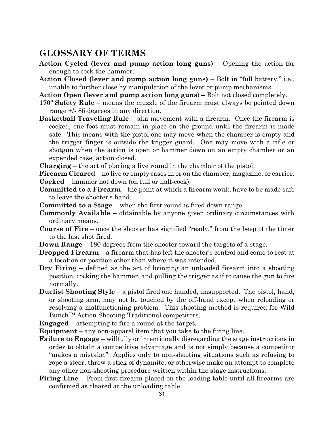## <span id="page-31-0"></span>**GLOSSARY OF TERMS**

- **Action Cycled (lever and pump action long guns)** Opening the action far enough to cock the hammer.
- **Action Closed (lever and pump action long guns)** Bolt in "full battery," i.e., unable to further close by manipulation of the lever or pump mechanisms.

**Action Open (lever and pump action long guns**) – Bolt not closed completely.

- **170º Safety Rule** means the muzzle of the firearm must always be pointed down range +/- 85 degrees in any direction.
- **Basketball Traveling Rule** aka movement with a firearm. Once the firearm is cocked, one foot must remain in place on the ground until the firearm is made safe. This means with the pistol one may move when the chamber is empty and the trigger finger is outside the trigger guard. One may move with a rifle or shotgun when the action is open or hammer down on an empty chamber or an expended case, action closed.

**Charging** – the act of placing a live round in the chamber of the pistol.

**Firearm Cleared** – no live or empty cases in or on the chamber, magazine, or carrier. **Cocked** – hammer not down (on full or half-cock).

- **Committed to a Firearm** the point at which a firearm would have to be made safe to leave the shooter's hand.
- **Committed to a Stage** when the first round is fired down range.
- **Commonly Available** obtainable by anyone given ordinary circumstances with ordinary means.
- **Course of Fire** once the shooter has signified "ready," from the beep of the timer to the last shot fired.
- **Down Range** 180 degrees from the shooter toward the targets of a stage.
- **Dropped Firearm** a firearm that has left the shooter's control and come to rest at a location or position other than where it was intended.
- **Dry Firing**  defined as the act of bringing an unloaded firearm into a shooting position, cocking the hammer, and pulling the trigger as if to cause the gun to fire normally.
- **Duelist Shooting Style** a pistol fired one handed, unsupported. The pistol, hand, or shooting arm, may not be touched by the off-hand except when reloading or resolving a malfunctioning problem. This shooting method is required for Wild Bunch™ Action Shooting Traditional competitors.

**Engaged** – attempting to fire a round at the target.

- **Equipment** any non-apparel item that you take to the firing line.
- **Failure to Engage** willfully or intentionally disregarding the stage instructions in order to obtain a competitive advantage and is not simply because a competitor "makes a mistake." Applies only to non-shooting situations such as refusing to rope a steer, throw a stick of dynamite, or otherwise make an attempt to complete any other non-shooting procedure written within the stage instructions.
- **Firing Line** From first firearm placed on the loading table until all firearms are confirmed as cleared at the unloading table.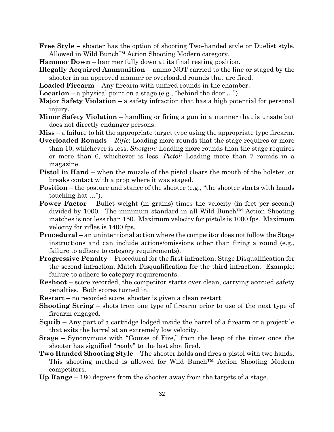**Free Style** – shooter has the option of shooting Two-handed style or Duelist style. Allowed in Wild Bunch™ Action Shooting Modern category.

**Hammer Down** – hammer fully down at its final resting position.

- **Illegally Acquired Ammunition** ammo NOT carried to the line or staged by the shooter in an approved manner or overloaded rounds that are fired.
- **Loaded Firearm** Any firearm with unfired rounds in the chamber.
- **Location** a physical point on a stage (e.g., "behind the door …")
- **Major Safety Violation** a safety infraction that has a high potential for personal injury.
- **Minor Safety Violation** handling or firing a gun in a manner that is unsafe but does not directly endanger persons.
- **Miss** a failure to hit the appropriate target type using the appropriate type firearm.
- **Overloaded Rounds**  *Rifle*: Loading more rounds that the stage requires or more than 10, whichever is less. *Shotgun:* Loading more rounds than the stage requires or more than 6, whichever is less. *Pistol:* Loading more than 7 rounds in a magazine.
- **Pistol in Hand** when the muzzle of the pistol clears the mouth of the holster, or breaks contact with a prop where it was staged.
- **Position** the posture and stance of the shooter (e.g., "the shooter starts with hands touching hat …").
- **Power Factor** Bullet weight (in grains) times the velocity (in feet per second) divided by 1000. The minimum standard in all Wild Bunch™ Action Shooting matches is not less than 150. Maximum velocity for pistols is 1000 fps. Maximum velocity for rifles is 1400 fps.
- **Procedural**  an unintentional action where the competitor does not follow the Stage instructions and can include actions/omissions other than firing a round (e.g., failure to adhere to category requirements).
- **Progressive Penalty** Procedural for the first infraction; Stage Disqualification for the second infraction; Match Disqualification for the third infraction. Example: failure to adhere to category requirements.
- **Reshoot** score recorded, the competitor starts over clean, carrying accrued safety penalties. Both scores turned in.
- **Restart** no recorded score, shooter is given a clean restart.
- **Shooting String** shots from one type of firearm prior to use of the next type of firearm engaged.
- S**quib** Any part of a cartridge lodged inside the barrel of a firearm or a projectile that exits the barrel at an extremely low velocity.
- **Stage** Synonymous with "Course of Fire," from the beep of the timer once the shooter has signified "ready" to the last shot fired.
- **Two Handed Shooting Style** The shooter holds and fires a pistol with two hands. This shooting method is allowed for Wild Bunch™ Action Shooting Modern competitors.
- **Up Range** 180 degrees from the shooter away from the targets of a stage.